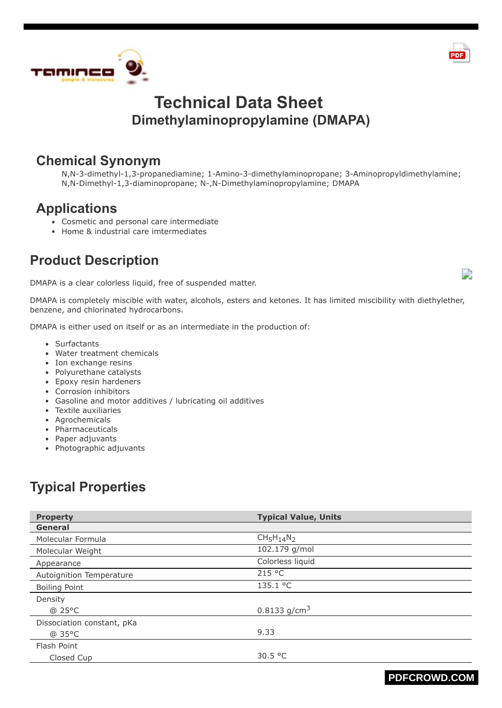



#### **Chemical Synonym**

N,N-3-dimethyl-1,3-propanediamine; 1-Amino-3-dimethylaminopropane; 3-Aminopropyldimethylamine; N,N-Dimethyl-1,3-diaminopropane; N-,N-Dimethylaminopropylamine; DMAPA

### **Applications**

- Cosmetic and personal care intermediate
- Home & industrial care imtermediates

## **Product Description**

DMAPA is a clear colorless liquid, free of suspended matter.

DMAPA is completely miscible with water, alcohols, esters and ketones. It has limited miscibility with diethylether, benzene, and chlorinated hydrocarbons.

DMAPA is either used on itself or as an intermediate in the production of:

- Surfactants
- Water treatment chemicals
- Ion exchange resins
- Polyurethane catalysts
- Epoxy resin hardeners
- Corrosion inhibitors
- Gasoline and motor additives / lubricating oil additives
- Textile auxiliaries
- Agrochemicals
- Pharmaceuticals
- Paper adjuvants
- Photographic adjuvants

# **Typical Properties**

| <b>Property</b>            | <b>Typical Value, Units</b> |
|----------------------------|-----------------------------|
| <b>General</b>             |                             |
| Molecular Formula          | $CH5H14N2$                  |
| Molecular Weight           | 102.179 g/mol               |
| Appearance                 | Colorless liquid            |
| Autoignition Temperature   | 215 °C                      |
| <b>Boiling Point</b>       | 135.1 °C                    |
| Density                    |                             |
| @ 25°C                     | 0.8133 g/cm <sup>3</sup>    |
| Dissociation constant, pKa |                             |
| @ 35°C                     | 9.33                        |
| Flash Point                |                             |
| Closed Cup                 | 30.5 $\degree$ C            |